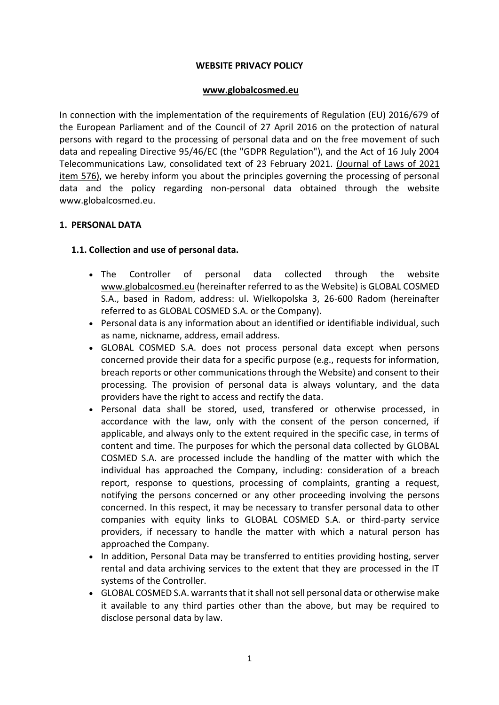### **WEBSITE PRIVACY POLICY**

#### **[www.globalcosmed.eu](http://www.globalcosmed.eu/)**

In connection with the implementation of the requirements of Regulation (EU) 2016/679 of the European Parliament and of the Council of 27 April 2016 on the protection of natural persons with regard to the processing of personal data and on the free movement of such data and repealing Directive 95/46/EC (the "GDPR Regulation"), and the Act of 16 July 2004 Telecommunications Law, consolidated text of 23 February 2021. [\(Journal of Laws of 2021](https://sip.legalis.pl/document-view.seam?documentId=mfrxilrtg4ytmmjuguyts)  [item 576\),](https://sip.legalis.pl/document-view.seam?documentId=mfrxilrtg4ytmmjuguyts) we hereby inform you about the principles governing the processing of personal data and the policy regarding non-personal data obtained through the website www.globalcosmed.eu.

### **1. PERSONAL DATA**

### **1.1. Collection and use of personal data.**

- The Controller of personal data collected through the website [www.globalcosmed.eu](http://www.globalcosmed.eu/) (hereinafter referred to as the Website) is GLOBAL COSMED S.A., based in Radom, address: ul. Wielkopolska 3, 26-600 Radom (hereinafter referred to as GLOBAL COSMED S.A. or the Company).
- Personal data is any information about an identified or identifiable individual, such as name, nickname, address, email address.
- GLOBAL COSMED S.A. does not process personal data except when persons concerned provide their data for a specific purpose (e.g., requests for information, breach reports or other communications through the Website) and consent to their processing. The provision of personal data is always voluntary, and the data providers have the right to access and rectify the data.
- Personal data shall be stored, used, transfered or otherwise processed, in accordance with the law, only with the consent of the person concerned, if applicable, and always only to the extent required in the specific case, in terms of content and time. The purposes for which the personal data collected by GLOBAL COSMED S.A. are processed include the handling of the matter with which the individual has approached the Company, including: consideration of a breach report, response to questions, processing of complaints, granting a request, notifying the persons concerned or any other proceeding involving the persons concerned. In this respect, it may be necessary to transfer personal data to other companies with equity links to GLOBAL COSMED S.A. or third-party service providers, if necessary to handle the matter with which a natural person has approached the Company.
- In addition, Personal Data may be transferred to entities providing hosting, server rental and data archiving services to the extent that they are processed in the IT systems of the Controller.
- GLOBAL COSMED S.A. warrants that it shall not sell personal data or otherwise make it available to any third parties other than the above, but may be required to disclose personal data by law.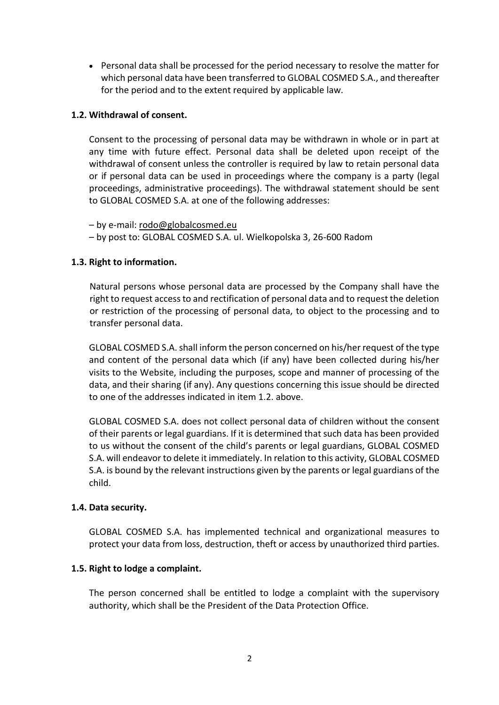Personal data shall be processed for the period necessary to resolve the matter for which personal data have been transferred to GLOBAL COSMED S.A., and thereafter for the period and to the extent required by applicable law.

# **1.2. Withdrawal of consent.**

Consent to the processing of personal data may be withdrawn in whole or in part at any time with future effect. Personal data shall be deleted upon receipt of the withdrawal of consent unless the controller is required by law to retain personal data or if personal data can be used in proceedings where the company is a party (legal proceedings, administrative proceedings). The withdrawal statement should be sent to GLOBAL COSMED S.A. at one of the following addresses:

– by e-mail: [rodo@globalcosmed.eu](mailto:rodo@globalcosmed.eu)

– by post to: GLOBAL COSMED S.A. ul. Wielkopolska 3, 26-600 Radom

## **1.3. Right to information.**

Natural persons whose personal data are processed by the Company shall have the right to request access to and rectification of personal data and to request the deletion or restriction of the processing of personal data, to object to the processing and to transfer personal data.

GLOBAL COSMED S.A. shall inform the person concerned on his/her request of the type and content of the personal data which (if any) have been collected during his/her visits to the Website, including the purposes, scope and manner of processing of the data, and their sharing (if any). Any questions concerning this issue should be directed to one of the addresses indicated in item 1.2. above.

GLOBAL COSMED S.A. does not collect personal data of children without the consent of their parents or legal guardians. If it is determined that such data has been provided to us without the consent of the child's parents or legal guardians, GLOBAL COSMED S.A. will endeavor to delete it immediately. In relation to this activity, GLOBAL COSMED S.A. is bound by the relevant instructions given by the parents or legal guardians of the child.

### **1.4. Data security.**

GLOBAL COSMED S.A. has implemented technical and organizational measures to protect your data from loss, destruction, theft or access by unauthorized third parties.

### **1.5. Right to lodge a complaint.**

The person concerned shall be entitled to lodge a complaint with the supervisory authority, which shall be the President of the Data Protection Office.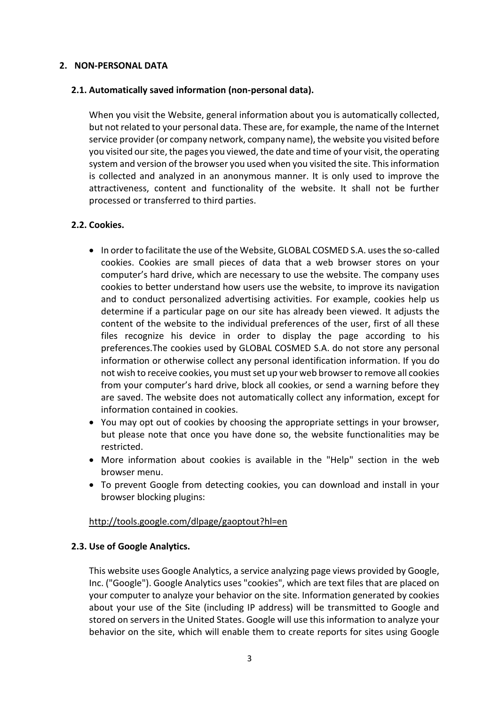### **2. NON-PERSONAL DATA**

### **2.1. Automatically saved information (non-personal data).**

When you visit the Website, general information about you is automatically collected, but not related to your personal data. These are, for example, the name of the Internet service provider (or company network, company name), the website you visited before you visited our site, the pages you viewed, the date and time of your visit, the operating system and version of the browser you used when you visited the site. This information is collected and analyzed in an anonymous manner. It is only used to improve the attractiveness, content and functionality of the website. It shall not be further processed or transferred to third parties.

## **2.2. Cookies.**

- In order to facilitate the use of the Website, GLOBAL COSMED S.A. uses the so-called cookies. Cookies are small pieces of data that a web browser stores on your computer's hard drive, which are necessary to use the website. The company uses cookies to better understand how users use the website, to improve its navigation and to conduct personalized advertising activities. For example, cookies help us determine if a particular page on our site has already been viewed. It adjusts the content of the website to the individual preferences of the user, first of all these files recognize his device in order to display the page according to his preferences.The cookies used by GLOBAL COSMED S.A. do not store any personal information or otherwise collect any personal identification information. If you do not wish to receive cookies, you must set up your web browser to remove all cookies from your computer's hard drive, block all cookies, or send a warning before they are saved. The website does not automatically collect any information, except for information contained in cookies.
- You may opt out of cookies by choosing the appropriate settings in your browser, but please note that once you have done so, the website functionalities may be restricted.
- More information about cookies is available in the "Help" section in the web browser menu.
- To prevent Google from detecting cookies, you can download and install in your browser blocking plugins:

### <http://tools.google.com/dlpage/gaoptout?hl=en>

### **2.3. Use of Google Analytics.**

This website uses Google Analytics, a service analyzing page views provided by Google, Inc. ("Google"). Google Analytics uses "cookies", which are text files that are placed on your computer to analyze your behavior on the site. Information generated by cookies about your use of the Site (including IP address) will be transmitted to Google and stored on servers in the United States. Google will use this information to analyze your behavior on the site, which will enable them to create reports for sites using Google